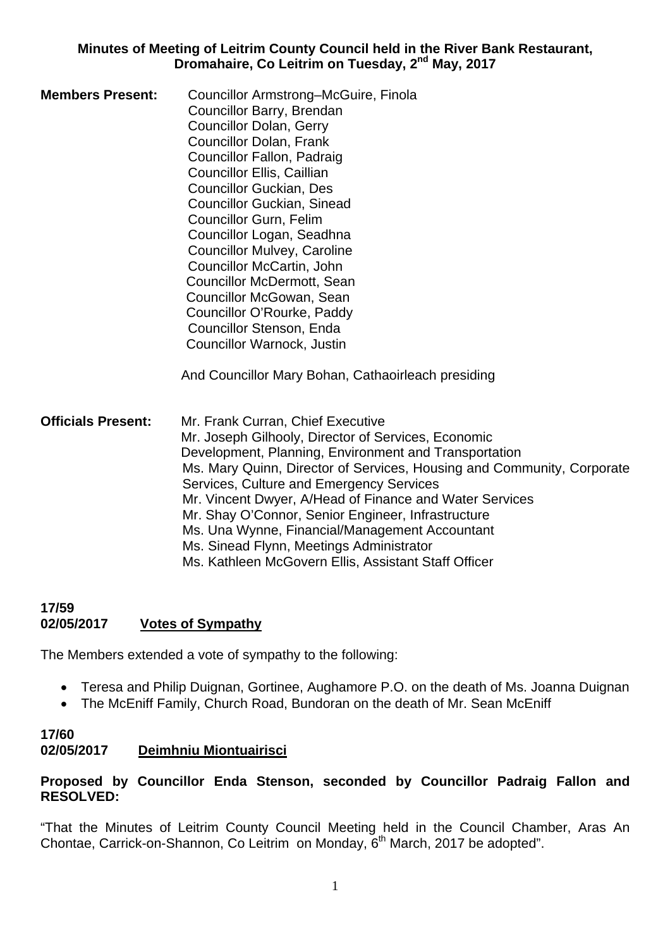#### **Minutes of Meeting of Leitrim County Council held in the River Bank Restaurant, Dromahaire, Co Leitrim on Tuesday, 2nd May, 2017**

**Members Present:** Councillor Armstrong–McGuire, Finola Councillor Barry, Brendan Councillor Dolan, Gerry Councillor Dolan, Frank Councillor Fallon, Padraig Councillor Ellis, Caillian Councillor Guckian, Des Councillor Guckian, Sinead Councillor Gurn, Felim Councillor Logan, Seadhna Councillor Mulvey, Caroline Councillor McCartin, John Councillor McDermott, Sean Councillor McGowan, Sean Councillor O'Rourke, Paddy Councillor Stenson, Enda Councillor Warnock, Justin

And Councillor Mary Bohan, Cathaoirleach presiding

**Officials Present:** Mr. Frank Curran, Chief Executive Mr. Joseph Gilhooly, Director of Services, Economic Development, Planning, Environment and Transportation Ms. Mary Quinn, Director of Services, Housing and Community, Corporate Services, Culture and Emergency Services Mr. Vincent Dwyer, A/Head of Finance and Water Services Mr. Shay O'Connor, Senior Engineer, Infrastructure Ms. Una Wynne, Financial/Management Accountant Ms. Sinead Flynn, Meetings Administrator Ms. Kathleen McGovern Ellis, Assistant Staff Officer

# **17/59 02/05/2017 Votes of Sympathy**

The Members extended a vote of sympathy to the following:

- Teresa and Philip Duignan, Gortinee, Aughamore P.O. on the death of Ms. Joanna Duignan
- The McEniff Family, Church Road, Bundoran on the death of Mr. Sean McEniff

#### **17/60 02/05/2017 Deimhniu Miontuairisci**

### **Proposed by Councillor Enda Stenson, seconded by Councillor Padraig Fallon and RESOLVED:**

"That the Minutes of Leitrim County Council Meeting held in the Council Chamber, Aras An Chontae, Carrick-on-Shannon, Co Leitrim on Monday, 6<sup>th</sup> March, 2017 be adopted".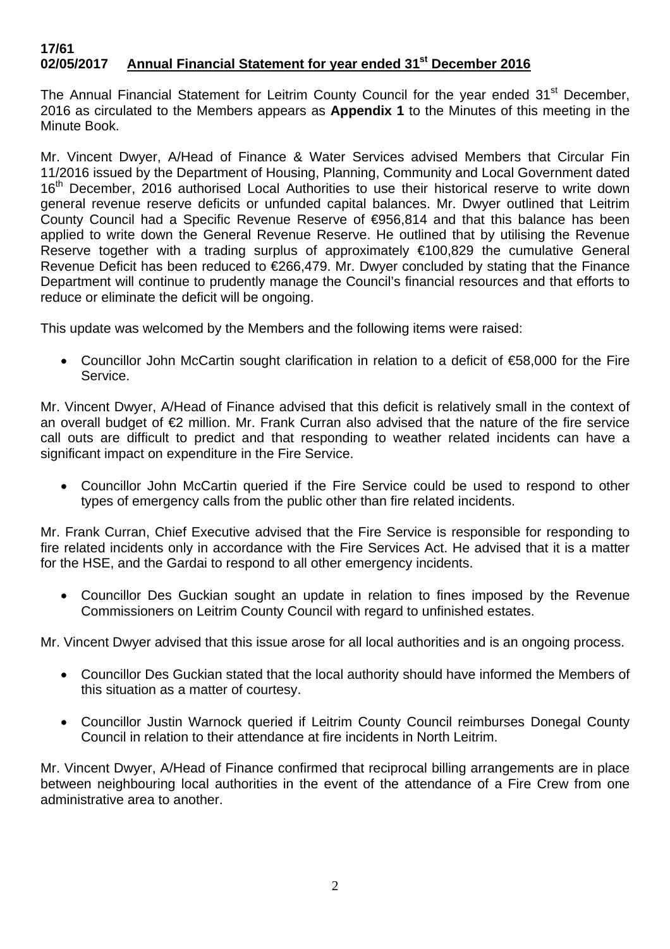#### **17/61 02/05/2017 Annual Financial Statement for year ended 31st December 2016**

The Annual Financial Statement for Leitrim County Council for the year ended 31<sup>st</sup> December, 2016 as circulated to the Members appears as **Appendix 1** to the Minutes of this meeting in the Minute Book.

Mr. Vincent Dwyer, A/Head of Finance & Water Services advised Members that Circular Fin 11/2016 issued by the Department of Housing, Planning, Community and Local Government dated 16<sup>th</sup> December, 2016 authorised Local Authorities to use their historical reserve to write down general revenue reserve deficits or unfunded capital balances. Mr. Dwyer outlined that Leitrim County Council had a Specific Revenue Reserve of €956,814 and that this balance has been applied to write down the General Revenue Reserve. He outlined that by utilising the Revenue Reserve together with a trading surplus of approximately €100,829 the cumulative General Revenue Deficit has been reduced to €266,479. Mr. Dwyer concluded by stating that the Finance Department will continue to prudently manage the Council's financial resources and that efforts to reduce or eliminate the deficit will be ongoing.

This update was welcomed by the Members and the following items were raised:

• Councillor John McCartin sought clarification in relation to a deficit of €58,000 for the Fire Service.

Mr. Vincent Dwyer, A/Head of Finance advised that this deficit is relatively small in the context of an overall budget of €2 million. Mr. Frank Curran also advised that the nature of the fire service call outs are difficult to predict and that responding to weather related incidents can have a significant impact on expenditure in the Fire Service.

• Councillor John McCartin queried if the Fire Service could be used to respond to other types of emergency calls from the public other than fire related incidents.

Mr. Frank Curran, Chief Executive advised that the Fire Service is responsible for responding to fire related incidents only in accordance with the Fire Services Act. He advised that it is a matter for the HSE, and the Gardai to respond to all other emergency incidents.

• Councillor Des Guckian sought an update in relation to fines imposed by the Revenue Commissioners on Leitrim County Council with regard to unfinished estates.

Mr. Vincent Dwyer advised that this issue arose for all local authorities and is an ongoing process.

- Councillor Des Guckian stated that the local authority should have informed the Members of this situation as a matter of courtesy.
- Councillor Justin Warnock queried if Leitrim County Council reimburses Donegal County Council in relation to their attendance at fire incidents in North Leitrim.

Mr. Vincent Dwyer, A/Head of Finance confirmed that reciprocal billing arrangements are in place between neighbouring local authorities in the event of the attendance of a Fire Crew from one administrative area to another.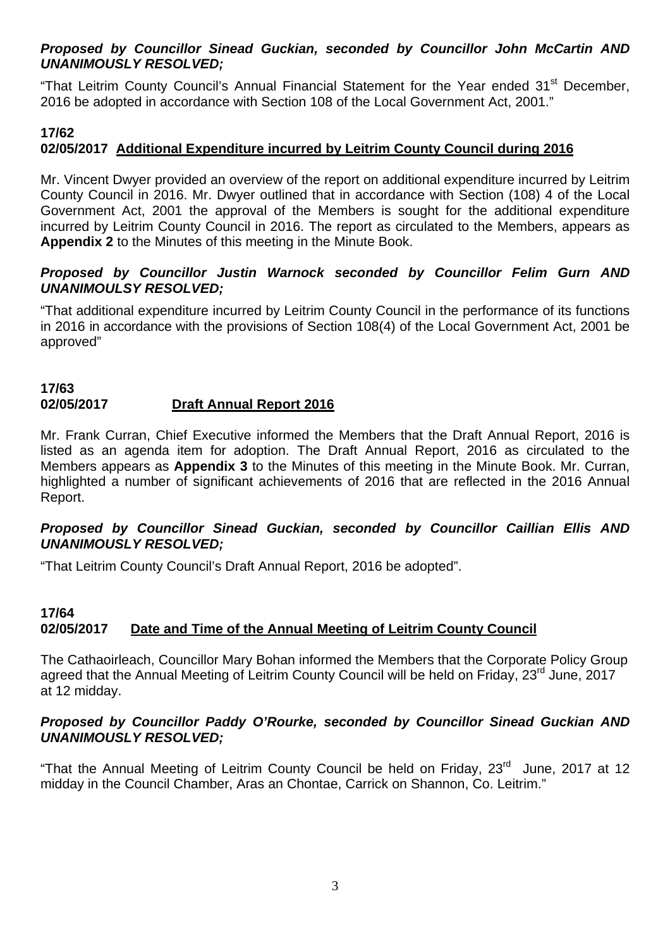### *Proposed by Councillor Sinead Guckian, seconded by Councillor John McCartin AND UNANIMOUSLY RESOLVED;*

"That Leitrim County Council's Annual Financial Statement for the Year ended 31<sup>st</sup> December, 2016 be adopted in accordance with Section 108 of the Local Government Act, 2001."

# **17/62**

# **02/05/2017 Additional Expenditure incurred by Leitrim County Council during 2016**

Mr. Vincent Dwyer provided an overview of the report on additional expenditure incurred by Leitrim County Council in 2016. Mr. Dwyer outlined that in accordance with Section (108) 4 of the Local Government Act, 2001 the approval of the Members is sought for the additional expenditure incurred by Leitrim County Council in 2016. The report as circulated to the Members, appears as **Appendix 2** to the Minutes of this meeting in the Minute Book.

# *Proposed by Councillor Justin Warnock seconded by Councillor Felim Gurn AND UNANIMOULSY RESOLVED;*

"That additional expenditure incurred by Leitrim County Council in the performance of its functions in 2016 in accordance with the provisions of Section 108(4) of the Local Government Act, 2001 be approved"

#### **17/63 02/05/2017 Draft Annual Report 2016**

Mr. Frank Curran, Chief Executive informed the Members that the Draft Annual Report, 2016 is listed as an agenda item for adoption. The Draft Annual Report, 2016 as circulated to the Members appears as **Appendix 3** to the Minutes of this meeting in the Minute Book. Mr. Curran, highlighted a number of significant achievements of 2016 that are reflected in the 2016 Annual Report.

### *Proposed by Councillor Sinead Guckian, seconded by Councillor Caillian Ellis AND UNANIMOUSLY RESOLVED;*

"That Leitrim County Council's Draft Annual Report, 2016 be adopted".

# **17/64 02/05/2017 Date and Time of the Annual Meeting of Leitrim County Council**

The Cathaoirleach, Councillor Mary Bohan informed the Members that the Corporate Policy Group agreed that the Annual Meeting of Leitrim County Council will be held on Friday, 23<sup>rd</sup> June, 2017 at 12 midday.

### *Proposed by Councillor Paddy O'Rourke, seconded by Councillor Sinead Guckian AND UNANIMOUSLY RESOLVED;*

"That the Annual Meeting of Leitrim County Council be held on Friday,  $23<sup>rd</sup>$  June, 2017 at 12 midday in the Council Chamber, Aras an Chontae, Carrick on Shannon, Co. Leitrim."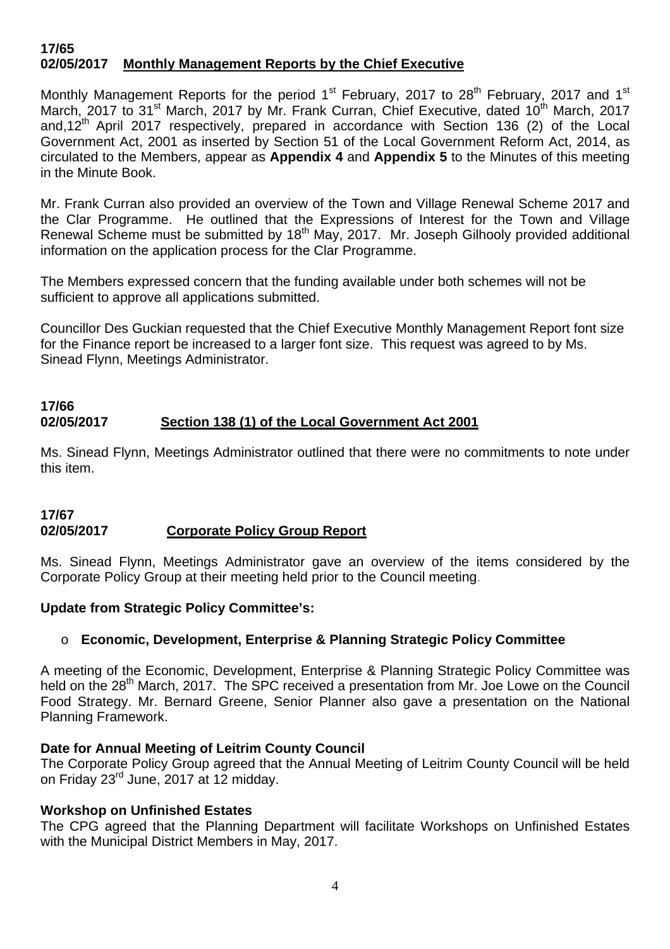#### **17/65 02/05/2017 Monthly Management Reports by the Chief Executive**

Monthly Management Reports for the period  $1<sup>st</sup>$  February, 2017 to 28<sup>th</sup> February, 2017 and  $1<sup>st</sup>$ March, 2017 to 31<sup>st</sup> March, 2017 by Mr. Frank Curran, Chief Executive, dated 10<sup>th</sup> March, 2017 and,12<sup>th</sup> April 2017 respectively, prepared in accordance with Section 136 (2) of the Local Government Act, 2001 as inserted by Section 51 of the Local Government Reform Act, 2014, as circulated to the Members, appear as **Appendix 4** and **Appendix 5** to the Minutes of this meeting in the Minute Book.

Mr. Frank Curran also provided an overview of the Town and Village Renewal Scheme 2017 and the Clar Programme. He outlined that the Expressions of Interest for the Town and Village Renewal Scheme must be submitted by 18<sup>th</sup> May, 2017. Mr. Joseph Gilhooly provided additional information on the application process for the Clar Programme.

The Members expressed concern that the funding available under both schemes will not be sufficient to approve all applications submitted.

Councillor Des Guckian requested that the Chief Executive Monthly Management Report font size for the Finance report be increased to a larger font size. This request was agreed to by Ms. Sinead Flynn, Meetings Administrator.

# **17/66 02/05/2017 Section 138 (1) of the Local Government Act 2001**

Ms. Sinead Flynn, Meetings Administrator outlined that there were no commitments to note under this item.

#### **17/67 02/05/2017 Corporate Policy Group Report**

Ms. Sinead Flynn, Meetings Administrator gave an overview of the items considered by the Corporate Policy Group at their meeting held prior to the Council meeting.

# **Update from Strategic Policy Committee's:**

# o **Economic, Development, Enterprise & Planning Strategic Policy Committee**

A meeting of the Economic, Development, Enterprise & Planning Strategic Policy Committee was held on the 28<sup>th</sup> March, 2017. The SPC received a presentation from Mr. Joe Lowe on the Council Food Strategy. Mr. Bernard Greene, Senior Planner also gave a presentation on the National Planning Framework.

# **Date for Annual Meeting of Leitrim County Council**

The Corporate Policy Group agreed that the Annual Meeting of Leitrim County Council will be held on Friday 23rd June, 2017 at 12 midday.

# **Workshop on Unfinished Estates**

The CPG agreed that the Planning Department will facilitate Workshops on Unfinished Estates with the Municipal District Members in May, 2017.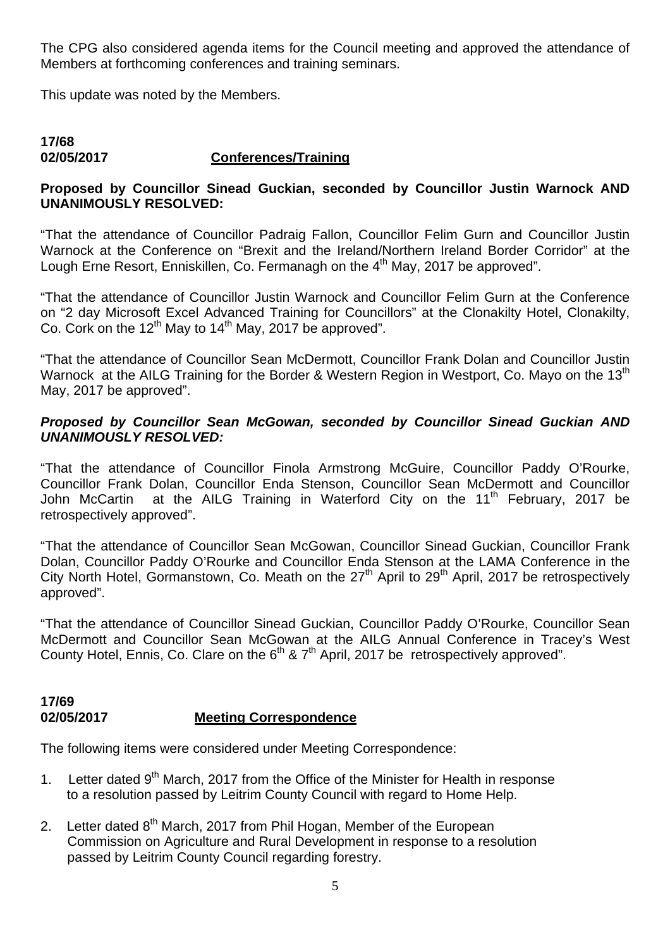The CPG also considered agenda items for the Council meeting and approved the attendance of Members at forthcoming conferences and training seminars.

This update was noted by the Members.

### **17/68 02/05/2017 Conferences/Training**

# **Proposed by Councillor Sinead Guckian, seconded by Councillor Justin Warnock AND UNANIMOUSLY RESOLVED:**

"That the attendance of Councillor Padraig Fallon, Councillor Felim Gurn and Councillor Justin Warnock at the Conference on "Brexit and the Ireland/Northern Ireland Border Corridor" at the Lough Erne Resort, Enniskillen, Co. Fermanagh on the 4<sup>th</sup> May, 2017 be approved".

"That the attendance of Councillor Justin Warnock and Councillor Felim Gurn at the Conference on "2 day Microsoft Excel Advanced Training for Councillors" at the Clonakilty Hotel, Clonakilty, Co. Cork on the 12<sup>th</sup> May to 14<sup>th</sup> May, 2017 be approved".

"That the attendance of Councillor Sean McDermott, Councillor Frank Dolan and Councillor Justin Warnock at the AILG Training for the Border & Western Region in Westport, Co. Mayo on the 13<sup>th</sup> May, 2017 be approved".

#### *Proposed by Councillor Sean McGowan, seconded by Councillor Sinead Guckian AND UNANIMOUSLY RESOLVED:*

"That the attendance of Councillor Finola Armstrong McGuire, Councillor Paddy O'Rourke, Councillor Frank Dolan, Councillor Enda Stenson, Councillor Sean McDermott and Councillor John McCartin at the AILG Training in Waterford City on the 11<sup>th</sup> February, 2017 be retrospectively approved".

"That the attendance of Councillor Sean McGowan, Councillor Sinead Guckian, Councillor Frank Dolan, Councillor Paddy O'Rourke and Councillor Enda Stenson at the LAMA Conference in the City North Hotel, Gormanstown, Co. Meath on the 27<sup>th</sup> April to 29<sup>th</sup> April, 2017 be retrospectively approved".

"That the attendance of Councillor Sinead Guckian, Councillor Paddy O'Rourke, Councillor Sean McDermott and Councillor Sean McGowan at the AILG Annual Conference in Tracey's West County Hotel, Ennis, Co. Clare on the  $6<sup>th</sup>$  &  $7<sup>th</sup>$  April, 2017 be retrospectively approved".

#### **17/69 02/05/2017 Meeting Correspondence**

The following items were considered under Meeting Correspondence:

- 1. Letter dated  $9<sup>th</sup>$  March, 2017 from the Office of the Minister for Health in response to a resolution passed by Leitrim County Council with regard to Home Help.
- 2. Letter dated  $8<sup>th</sup>$  March, 2017 from Phil Hogan, Member of the European Commission on Agriculture and Rural Development in response to a resolution passed by Leitrim County Council regarding forestry.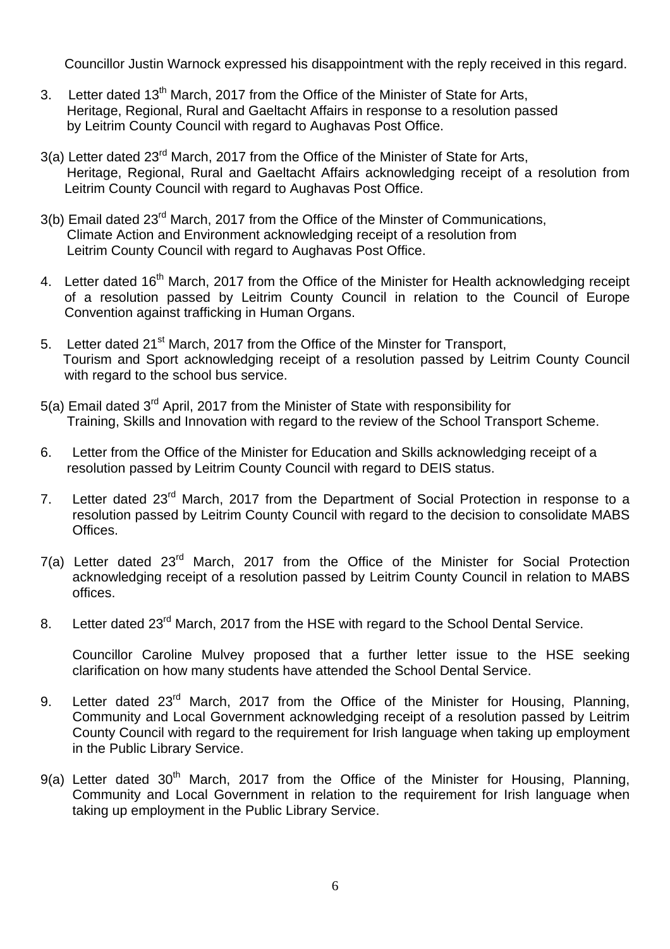Councillor Justin Warnock expressed his disappointment with the reply received in this regard.

- 3. Letter dated 13<sup>th</sup> March, 2017 from the Office of the Minister of State for Arts, Heritage, Regional, Rural and Gaeltacht Affairs in response to a resolution passed by Leitrim County Council with regard to Aughavas Post Office.
- 3(a) Letter dated 23<sup>rd</sup> March, 2017 from the Office of the Minister of State for Arts, Heritage, Regional, Rural and Gaeltacht Affairs acknowledging receipt of a resolution from Leitrim County Council with regard to Aughavas Post Office.
- 3(b) Email dated 23<sup>rd</sup> March, 2017 from the Office of the Minster of Communications, Climate Action and Environment acknowledging receipt of a resolution from Leitrim County Council with regard to Aughavas Post Office.
- 4. Letter dated 16<sup>th</sup> March, 2017 from the Office of the Minister for Health acknowledging receipt of a resolution passed by Leitrim County Council in relation to the Council of Europe Convention against trafficking in Human Organs.
- 5. Letter dated 21<sup>st</sup> March, 2017 from the Office of the Minster for Transport, Tourism and Sport acknowledging receipt of a resolution passed by Leitrim County Council with regard to the school bus service.
- 5(a) Email dated 3rd April, 2017 from the Minister of State with responsibility for Training, Skills and Innovation with regard to the review of the School Transport Scheme.
- 6. Letter from the Office of the Minister for Education and Skills acknowledging receipt of a resolution passed by Leitrim County Council with regard to DEIS status.
- 7. Letter dated 23<sup>rd</sup> March. 2017 from the Department of Social Protection in response to a resolution passed by Leitrim County Council with regard to the decision to consolidate MABS Offices.
- 7(a) Letter dated 23rd March, 2017 from the Office of the Minister for Social Protection acknowledging receipt of a resolution passed by Leitrim County Council in relation to MABS offices.
- 8. Letter dated 23<sup>rd</sup> March, 2017 from the HSE with regard to the School Dental Service.

Councillor Caroline Mulvey proposed that a further letter issue to the HSE seeking clarification on how many students have attended the School Dental Service.

- 9. Letter dated 23<sup>rd</sup> March, 2017 from the Office of the Minister for Housing, Planning, Community and Local Government acknowledging receipt of a resolution passed by Leitrim County Council with regard to the requirement for Irish language when taking up employment in the Public Library Service.
- 9(a) Letter dated  $30<sup>th</sup>$  March, 2017 from the Office of the Minister for Housing, Planning, Community and Local Government in relation to the requirement for Irish language when taking up employment in the Public Library Service.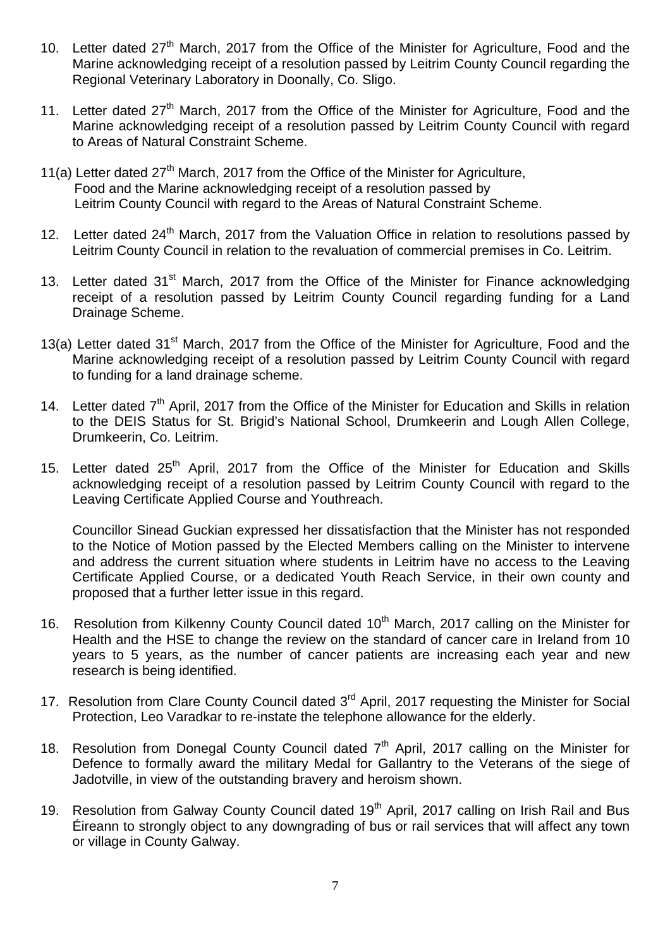- 10. Letter dated 27<sup>th</sup> March, 2017 from the Office of the Minister for Agriculture, Food and the Marine acknowledging receipt of a resolution passed by Leitrim County Council regarding the Regional Veterinary Laboratory in Doonally, Co. Sligo.
- 11. Letter dated 27<sup>th</sup> March, 2017 from the Office of the Minister for Agriculture, Food and the Marine acknowledging receipt of a resolution passed by Leitrim County Council with regard to Areas of Natural Constraint Scheme.
- 11(a) Letter dated  $27<sup>th</sup>$  March, 2017 from the Office of the Minister for Agriculture, Food and the Marine acknowledging receipt of a resolution passed by Leitrim County Council with regard to the Areas of Natural Constraint Scheme.
- 12. Letter dated 24<sup>th</sup> March, 2017 from the Valuation Office in relation to resolutions passed by Leitrim County Council in relation to the revaluation of commercial premises in Co. Leitrim.
- 13. Letter dated 31<sup>st</sup> March, 2017 from the Office of the Minister for Finance acknowledging receipt of a resolution passed by Leitrim County Council regarding funding for a Land Drainage Scheme.
- 13(a) Letter dated 31<sup>st</sup> March, 2017 from the Office of the Minister for Agriculture, Food and the Marine acknowledging receipt of a resolution passed by Leitrim County Council with regard to funding for a land drainage scheme.
- 14. Letter dated 7<sup>th</sup> April, 2017 from the Office of the Minister for Education and Skills in relation to the DEIS Status for St. Brigid's National School, Drumkeerin and Lough Allen College, Drumkeerin, Co. Leitrim.
- 15. Letter dated 25<sup>th</sup> April, 2017 from the Office of the Minister for Education and Skills acknowledging receipt of a resolution passed by Leitrim County Council with regard to the Leaving Certificate Applied Course and Youthreach.

Councillor Sinead Guckian expressed her dissatisfaction that the Minister has not responded to the Notice of Motion passed by the Elected Members calling on the Minister to intervene and address the current situation where students in Leitrim have no access to the Leaving Certificate Applied Course, or a dedicated Youth Reach Service, in their own county and proposed that a further letter issue in this regard.

- 16. Resolution from Kilkenny County Council dated 10<sup>th</sup> March, 2017 calling on the Minister for Health and the HSE to change the review on the standard of cancer care in Ireland from 10 years to 5 years, as the number of cancer patients are increasing each year and new research is being identified.
- 17. Resolution from Clare County Council dated 3<sup>rd</sup> April, 2017 requesting the Minister for Social Protection, Leo Varadkar to re-instate the telephone allowance for the elderly.
- 18. Resolution from Donegal County Council dated  $7<sup>th</sup>$  April, 2017 calling on the Minister for Defence to formally award the military Medal for Gallantry to the Veterans of the siege of Jadotville, in view of the outstanding bravery and heroism shown.
- 19. Resolution from Galway County Council dated 19<sup>th</sup> April, 2017 calling on Irish Rail and Bus Éireann to strongly object to any downgrading of bus or rail services that will affect any town or village in County Galway.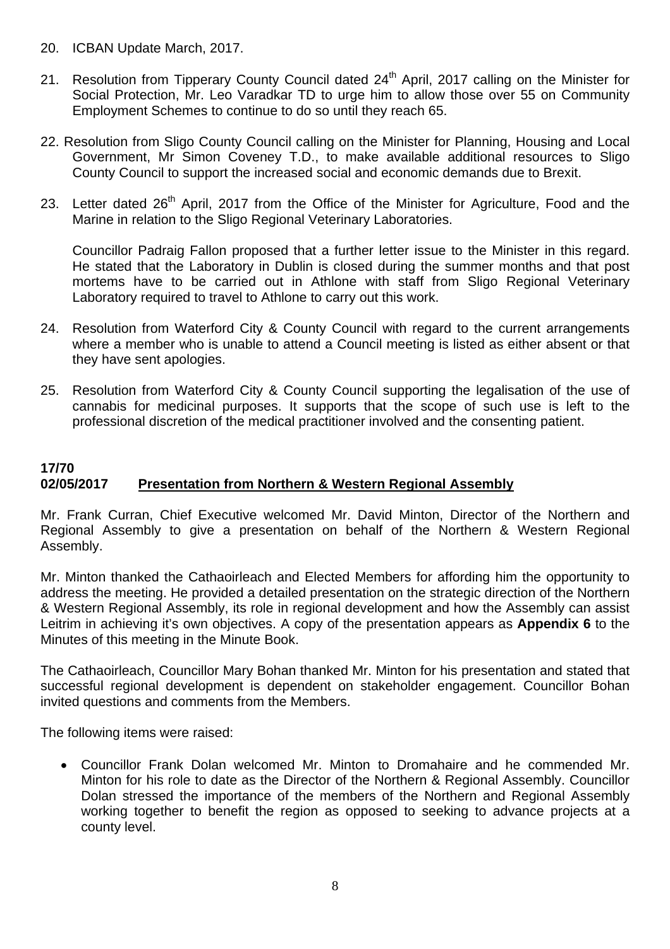- 20. ICBAN Update March, 2017.
- 21. Resolution from Tipperary County Council dated 24<sup>th</sup> April, 2017 calling on the Minister for Social Protection, Mr. Leo Varadkar TD to urge him to allow those over 55 on Community Employment Schemes to continue to do so until they reach 65.
- 22. Resolution from Sligo County Council calling on the Minister for Planning, Housing and Local Government, Mr Simon Coveney T.D., to make available additional resources to Sligo County Council to support the increased social and economic demands due to Brexit.
- 23. Letter dated 26<sup>th</sup> April, 2017 from the Office of the Minister for Agriculture, Food and the Marine in relation to the Sligo Regional Veterinary Laboratories.

Councillor Padraig Fallon proposed that a further letter issue to the Minister in this regard. He stated that the Laboratory in Dublin is closed during the summer months and that post mortems have to be carried out in Athlone with staff from Sligo Regional Veterinary Laboratory required to travel to Athlone to carry out this work.

- 24. Resolution from Waterford City & County Council with regard to the current arrangements where a member who is unable to attend a Council meeting is listed as either absent or that they have sent apologies.
- 25. Resolution from Waterford City & County Council supporting the legalisation of the use of cannabis for medicinal purposes. It supports that the scope of such use is left to the professional discretion of the medical practitioner involved and the consenting patient.

# **17/70 02/05/2017 Presentation from Northern & Western Regional Assembly**

Mr. Frank Curran, Chief Executive welcomed Mr. David Minton, Director of the Northern and Regional Assembly to give a presentation on behalf of the Northern & Western Regional Assembly.

Mr. Minton thanked the Cathaoirleach and Elected Members for affording him the opportunity to address the meeting. He provided a detailed presentation on the strategic direction of the Northern & Western Regional Assembly, its role in regional development and how the Assembly can assist Leitrim in achieving it's own objectives. A copy of the presentation appears as **Appendix 6** to the Minutes of this meeting in the Minute Book.

The Cathaoirleach, Councillor Mary Bohan thanked Mr. Minton for his presentation and stated that successful regional development is dependent on stakeholder engagement. Councillor Bohan invited questions and comments from the Members.

The following items were raised:

• Councillor Frank Dolan welcomed Mr. Minton to Dromahaire and he commended Mr. Minton for his role to date as the Director of the Northern & Regional Assembly. Councillor Dolan stressed the importance of the members of the Northern and Regional Assembly working together to benefit the region as opposed to seeking to advance projects at a county level.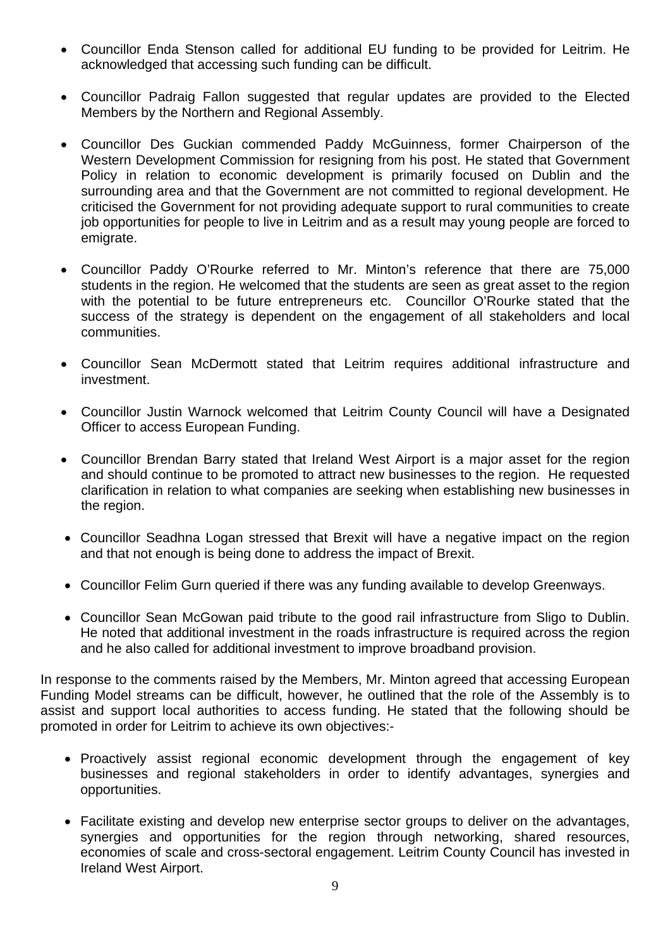- Councillor Enda Stenson called for additional EU funding to be provided for Leitrim. He acknowledged that accessing such funding can be difficult.
- Councillor Padraig Fallon suggested that regular updates are provided to the Elected Members by the Northern and Regional Assembly.
- Councillor Des Guckian commended Paddy McGuinness, former Chairperson of the Western Development Commission for resigning from his post. He stated that Government Policy in relation to economic development is primarily focused on Dublin and the surrounding area and that the Government are not committed to regional development. He criticised the Government for not providing adequate support to rural communities to create job opportunities for people to live in Leitrim and as a result may young people are forced to emigrate.
- Councillor Paddy O'Rourke referred to Mr. Minton's reference that there are 75,000 students in the region. He welcomed that the students are seen as great asset to the region with the potential to be future entrepreneurs etc. Councillor O'Rourke stated that the success of the strategy is dependent on the engagement of all stakeholders and local communities.
- Councillor Sean McDermott stated that Leitrim requires additional infrastructure and investment.
- Councillor Justin Warnock welcomed that Leitrim County Council will have a Designated Officer to access European Funding.
- Councillor Brendan Barry stated that Ireland West Airport is a major asset for the region and should continue to be promoted to attract new businesses to the region. He requested clarification in relation to what companies are seeking when establishing new businesses in the region.
- Councillor Seadhna Logan stressed that Brexit will have a negative impact on the region and that not enough is being done to address the impact of Brexit.
- Councillor Felim Gurn queried if there was any funding available to develop Greenways.
- Councillor Sean McGowan paid tribute to the good rail infrastructure from Sligo to Dublin. He noted that additional investment in the roads infrastructure is required across the region and he also called for additional investment to improve broadband provision.

In response to the comments raised by the Members, Mr. Minton agreed that accessing European Funding Model streams can be difficult, however, he outlined that the role of the Assembly is to assist and support local authorities to access funding. He stated that the following should be promoted in order for Leitrim to achieve its own objectives:-

- Proactively assist regional economic development through the engagement of key businesses and regional stakeholders in order to identify advantages, synergies and opportunities.
- Facilitate existing and develop new enterprise sector groups to deliver on the advantages, synergies and opportunities for the region through networking, shared resources, economies of scale and cross-sectoral engagement. Leitrim County Council has invested in Ireland West Airport.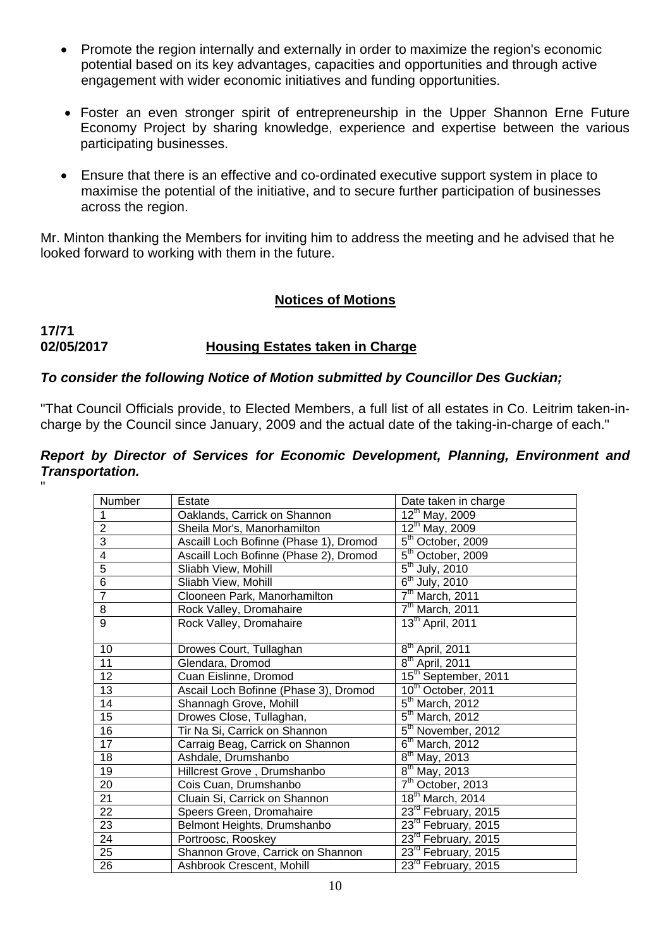- Promote the region internally and externally in order to maximize the region's economic potential based on its key advantages, capacities and opportunities and through active engagement with wider economic initiatives and funding opportunities.
- Foster an even stronger spirit of entrepreneurship in the Upper Shannon Erne Future Economy Project by sharing knowledge, experience and expertise between the various participating businesses.
- Ensure that there is an effective and co-ordinated executive support system in place to maximise the potential of the initiative, and to secure further participation of businesses across the region.

Mr. Minton thanking the Members for inviting him to address the meeting and he advised that he looked forward to working with them in the future.

### **Notices of Motions**

# **17/71 02/05/2017 Housing Estates taken in Charge**

### *To consider the following Notice of Motion submitted by Councillor Des Guckian;*

"That Council Officials provide, to Elected Members, a full list of all estates in Co. Leitrim taken-incharge by the Council since January, 2009 and the actual date of the taking-in-charge of each."

#### *Report by Director of Services for Economic Development, Planning, Environment and Transportation.* "

| Number                  | Estate                                 | Date taken in charge                     |  |  |
|-------------------------|----------------------------------------|------------------------------------------|--|--|
| $\mathbf 1$             | Oaklands, Carrick on Shannon           | $12^{th}$ May, 2009                      |  |  |
| $\overline{2}$          | Sheila Mor's, Manorhamilton            | $12^{th}$ May, 2009                      |  |  |
| $\overline{3}$          | Ascaill Loch Bofinne (Phase 1), Dromod | $\overline{5}^{\text{th}}$ October, 2009 |  |  |
| $\overline{\mathbf{4}}$ | Ascaill Loch Bofinne (Phase 2), Dromod | $5th$ October, 2009                      |  |  |
| $\overline{5}$          | Sliabh View, Mohill                    | $5th$ July, 2010                         |  |  |
| $\overline{6}$          | Sliabh View, Mohill                    | $6th$ July, 2010                         |  |  |
| $\overline{7}$          | Clooneen Park, Manorhamilton           | $7th$ March, 2011                        |  |  |
| 8                       | Rock Valley, Dromahaire                | $7th$ March, 2011                        |  |  |
| $\overline{9}$          | Rock Valley, Dromahaire                | $13^{\text{th}}$ April, 2011             |  |  |
|                         |                                        |                                          |  |  |
| 10                      | Drowes Court, Tullaghan                | $\overline{8^{th}}$ April, 2011          |  |  |
| 11                      | Glendara, Dromod                       | $8th$ April, 2011                        |  |  |
| 12                      | Cuan Eislinne, Dromod                  | 15 <sup>th</sup> September, 2011         |  |  |
| 13                      | Ascail Loch Bofinne (Phase 3), Dromod  | $10^{th}$ October, 2011                  |  |  |
| 14                      | Shannagh Grove, Mohill                 | $5th$ March, 2012                        |  |  |
| 15                      | Drowes Close, Tullaghan,               | $\overline{5}^{\text{th}}$ March, 2012   |  |  |
| 16                      | Tir Na Si, Carrick on Shannon          | $5th$ November, 2012                     |  |  |
| 17                      | Carraig Beag, Carrick on Shannon       | $6th$ March, 2012                        |  |  |
| 18                      | Ashdale, Drumshanbo                    | $8^{\text{th}}$ May, 2013                |  |  |
| 19                      | Hillcrest Grove, Drumshanbo            | $8^{\text{th}}$ May, 2013                |  |  |
| 20                      | Cois Cuan, Drumshanbo                  | $\overline{7^{th}}$ October, 2013        |  |  |
| 21                      | Cluain Si, Carrick on Shannon          | $18th$ March, 2014                       |  |  |
| 22                      | Speers Green, Dromahaire               | 23 <sup>rd</sup> February, 2015          |  |  |
| 23                      | Belmont Heights, Drumshanbo            | 23 <sup>rd</sup> February, 2015          |  |  |
| 24                      | Portroosc, Rooskey                     | 23rd February, 2015                      |  |  |
| 25                      | Shannon Grove, Carrick on Shannon      | 23 <sup>rd</sup> February, 2015          |  |  |
| 26                      | Ashbrook Crescent, Mohill              | $23rd$ February, 2015                    |  |  |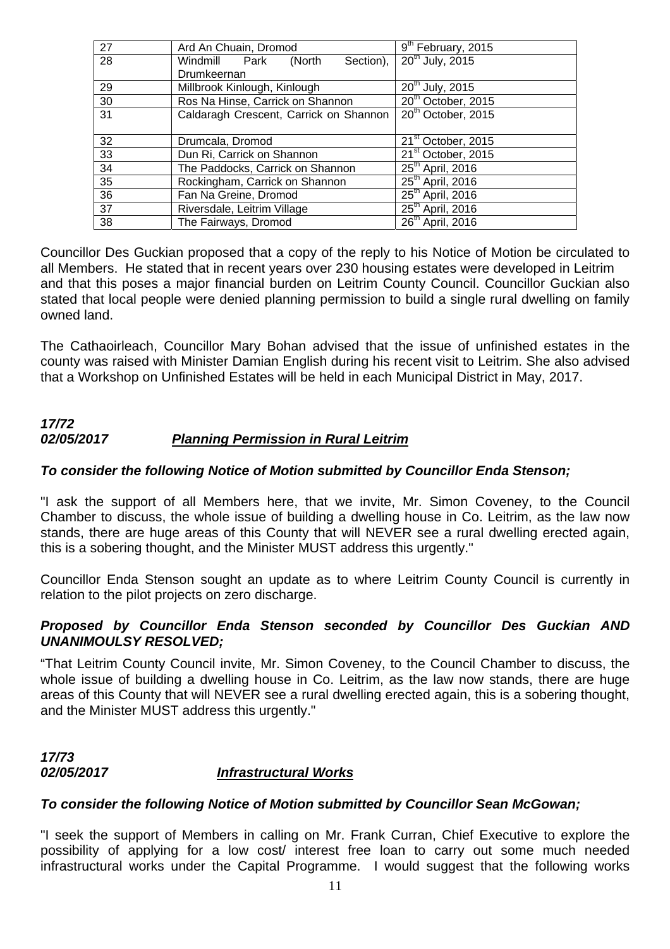| 27              | Ard An Chuain, Dromod                  | 9 <sup>th</sup> February, 2015 |  |
|-----------------|----------------------------------------|--------------------------------|--|
| $\overline{28}$ | Windmill Park<br>Section),<br>(North   | 20 <sup>th</sup> July, 2015    |  |
|                 | Drumkeernan                            |                                |  |
| 29              | Millbrook Kinlough, Kinlough           | $20^{th}$ July, 2015           |  |
| 30              | Ros Na Hinse, Carrick on Shannon       | 20 <sup>th</sup> October, 2015 |  |
| 31              | Caldaragh Crescent, Carrick on Shannon | 20 <sup>th</sup> October, 2015 |  |
|                 |                                        |                                |  |
| 32              | Drumcala, Dromod                       | 21 <sup>st</sup> October, 2015 |  |
| 33              | Dun Ri, Carrick on Shannon             | 21 <sup>st</sup> October, 2015 |  |
| 34              | The Paddocks, Carrick on Shannon       | $25th$ April, 2016             |  |
| 35              | Rockingham, Carrick on Shannon         | $25th$ April, 2016             |  |
| $\overline{36}$ | Fan Na Greine, Dromod                  | $25th$ April, 2016             |  |
| $\overline{37}$ | Riversdale, Leitrim Village            | $25th$ April, 2016             |  |
| $\overline{38}$ | The Fairways, Dromod                   | $26th$ April, 2016             |  |

Councillor Des Guckian proposed that a copy of the reply to his Notice of Motion be circulated to all Members. He stated that in recent years over 230 housing estates were developed in Leitrim and that this poses a major financial burden on Leitrim County Council. Councillor Guckian also stated that local people were denied planning permission to build a single rural dwelling on family owned land.

The Cathaoirleach, Councillor Mary Bohan advised that the issue of unfinished estates in the county was raised with Minister Damian English during his recent visit to Leitrim. She also advised that a Workshop on Unfinished Estates will be held in each Municipal District in May, 2017.

# *17/72 02/05/2017 Planning Permission in Rural Leitrim*

# *To consider the following Notice of Motion submitted by Councillor Enda Stenson;*

"I ask the support of all Members here, that we invite, Mr. Simon Coveney, to the Council Chamber to discuss, the whole issue of building a dwelling house in Co. Leitrim, as the law now stands, there are huge areas of this County that will NEVER see a rural dwelling erected again, this is a sobering thought, and the Minister MUST address this urgently."

Councillor Enda Stenson sought an update as to where Leitrim County Council is currently in relation to the pilot projects on zero discharge.

### *Proposed by Councillor Enda Stenson seconded by Councillor Des Guckian AND UNANIMOULSY RESOLVED;*

"That Leitrim County Council invite, Mr. Simon Coveney, to the Council Chamber to discuss, the whole issue of building a dwelling house in Co. Leitrim, as the law now stands, there are huge areas of this County that will NEVER see a rural dwelling erected again, this is a sobering thought, and the Minister MUST address this urgently."

# *17/73 02/05/2017 Infrastructural Works*

# *To consider the following Notice of Motion submitted by Councillor Sean McGowan;*

"I seek the support of Members in calling on Mr. Frank Curran, Chief Executive to explore the possibility of applying for a low cost/ interest free loan to carry out some much needed infrastructural works under the Capital Programme. I would suggest that the following works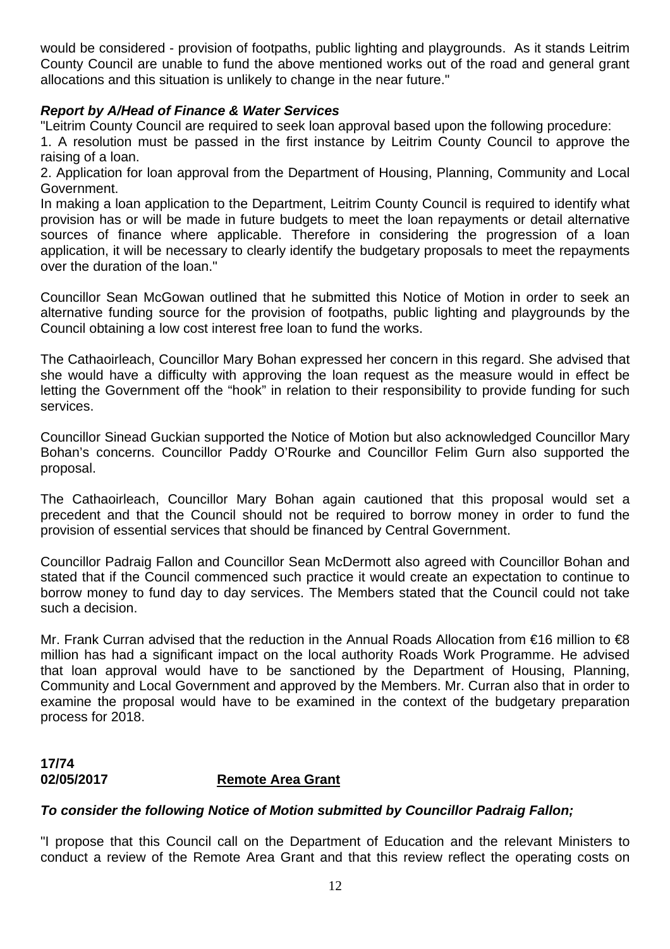would be considered - provision of footpaths, public lighting and playgrounds. As it stands Leitrim County Council are unable to fund the above mentioned works out of the road and general grant allocations and this situation is unlikely to change in the near future."

### *Report by A/Head of Finance & Water Services*

"Leitrim County Council are required to seek loan approval based upon the following procedure:

1. A resolution must be passed in the first instance by Leitrim County Council to approve the raising of a loan.

2. Application for loan approval from the Department of Housing, Planning, Community and Local Government.

In making a loan application to the Department, Leitrim County Council is required to identify what provision has or will be made in future budgets to meet the loan repayments or detail alternative sources of finance where applicable. Therefore in considering the progression of a loan application, it will be necessary to clearly identify the budgetary proposals to meet the repayments over the duration of the loan."

Councillor Sean McGowan outlined that he submitted this Notice of Motion in order to seek an alternative funding source for the provision of footpaths, public lighting and playgrounds by the Council obtaining a low cost interest free loan to fund the works.

The Cathaoirleach, Councillor Mary Bohan expressed her concern in this regard. She advised that she would have a difficulty with approving the loan request as the measure would in effect be letting the Government off the "hook" in relation to their responsibility to provide funding for such services.

Councillor Sinead Guckian supported the Notice of Motion but also acknowledged Councillor Mary Bohan's concerns. Councillor Paddy O'Rourke and Councillor Felim Gurn also supported the proposal.

The Cathaoirleach, Councillor Mary Bohan again cautioned that this proposal would set a precedent and that the Council should not be required to borrow money in order to fund the provision of essential services that should be financed by Central Government.

Councillor Padraig Fallon and Councillor Sean McDermott also agreed with Councillor Bohan and stated that if the Council commenced such practice it would create an expectation to continue to borrow money to fund day to day services. The Members stated that the Council could not take such a decision.

Mr. Frank Curran advised that the reduction in the Annual Roads Allocation from €16 million to €8 million has had a significant impact on the local authority Roads Work Programme. He advised that loan approval would have to be sanctioned by the Department of Housing, Planning, Community and Local Government and approved by the Members. Mr. Curran also that in order to examine the proposal would have to be examined in the context of the budgetary preparation process for 2018.

# **17/74 02/05/2017 Remote Area Grant**

# *To consider the following Notice of Motion submitted by Councillor Padraig Fallon;*

"I propose that this Council call on the Department of Education and the relevant Ministers to conduct a review of the Remote Area Grant and that this review reflect the operating costs on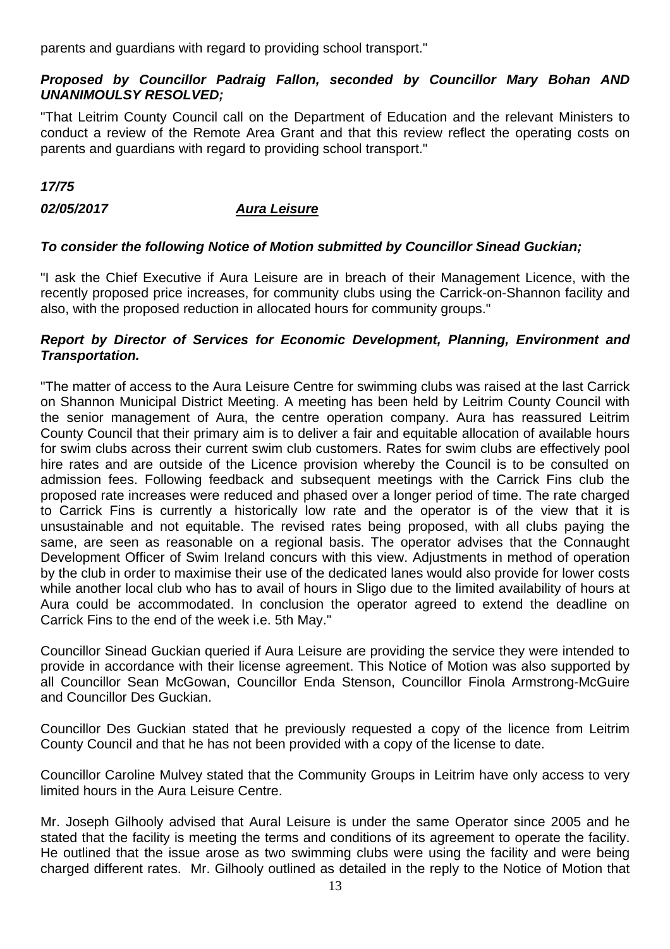parents and guardians with regard to providing school transport."

# *Proposed by Councillor Padraig Fallon, seconded by Councillor Mary Bohan AND UNANIMOULSY RESOLVED;*

"That Leitrim County Council call on the Department of Education and the relevant Ministers to conduct a review of the Remote Area Grant and that this review reflect the operating costs on parents and guardians with regard to providing school transport."

### *17/75*

# *02/05/2017 Aura Leisure*

# *To consider the following Notice of Motion submitted by Councillor Sinead Guckian;*

"I ask the Chief Executive if Aura Leisure are in breach of their Management Licence, with the recently proposed price increases, for community clubs using the Carrick-on-Shannon facility and also, with the proposed reduction in allocated hours for community groups."

### *Report by Director of Services for Economic Development, Planning, Environment and Transportation.*

"The matter of access to the Aura Leisure Centre for swimming clubs was raised at the last Carrick on Shannon Municipal District Meeting. A meeting has been held by Leitrim County Council with the senior management of Aura, the centre operation company. Aura has reassured Leitrim County Council that their primary aim is to deliver a fair and equitable allocation of available hours for swim clubs across their current swim club customers. Rates for swim clubs are effectively pool hire rates and are outside of the Licence provision whereby the Council is to be consulted on admission fees. Following feedback and subsequent meetings with the Carrick Fins club the proposed rate increases were reduced and phased over a longer period of time. The rate charged to Carrick Fins is currently a historically low rate and the operator is of the view that it is unsustainable and not equitable. The revised rates being proposed, with all clubs paying the same, are seen as reasonable on a regional basis. The operator advises that the Connaught Development Officer of Swim Ireland concurs with this view. Adjustments in method of operation by the club in order to maximise their use of the dedicated lanes would also provide for lower costs while another local club who has to avail of hours in Sligo due to the limited availability of hours at Aura could be accommodated. In conclusion the operator agreed to extend the deadline on Carrick Fins to the end of the week i.e. 5th May."

Councillor Sinead Guckian queried if Aura Leisure are providing the service they were intended to provide in accordance with their license agreement. This Notice of Motion was also supported by all Councillor Sean McGowan, Councillor Enda Stenson, Councillor Finola Armstrong-McGuire and Councillor Des Guckian.

Councillor Des Guckian stated that he previously requested a copy of the licence from Leitrim County Council and that he has not been provided with a copy of the license to date.

Councillor Caroline Mulvey stated that the Community Groups in Leitrim have only access to very limited hours in the Aura Leisure Centre.

Mr. Joseph Gilhooly advised that Aural Leisure is under the same Operator since 2005 and he stated that the facility is meeting the terms and conditions of its agreement to operate the facility. He outlined that the issue arose as two swimming clubs were using the facility and were being charged different rates. Mr. Gilhooly outlined as detailed in the reply to the Notice of Motion that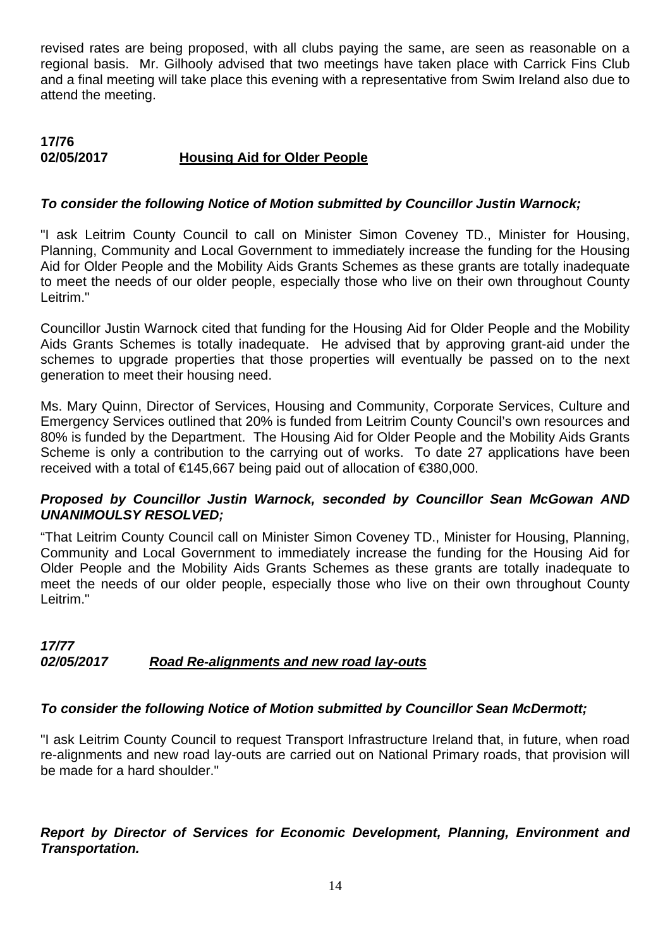revised rates are being proposed, with all clubs paying the same, are seen as reasonable on a regional basis. Mr. Gilhooly advised that two meetings have taken place with Carrick Fins Club and a final meeting will take place this evening with a representative from Swim Ireland also due to attend the meeting.

#### **17/76 02/05/2017 Housing Aid for Older People**

### *To consider the following Notice of Motion submitted by Councillor Justin Warnock;*

"I ask Leitrim County Council to call on Minister Simon Coveney TD., Minister for Housing, Planning, Community and Local Government to immediately increase the funding for the Housing Aid for Older People and the Mobility Aids Grants Schemes as these grants are totally inadequate to meet the needs of our older people, especially those who live on their own throughout County Leitrim."

Councillor Justin Warnock cited that funding for the Housing Aid for Older People and the Mobility Aids Grants Schemes is totally inadequate. He advised that by approving grant-aid under the schemes to upgrade properties that those properties will eventually be passed on to the next generation to meet their housing need.

Ms. Mary Quinn, Director of Services, Housing and Community, Corporate Services, Culture and Emergency Services outlined that 20% is funded from Leitrim County Council's own resources and 80% is funded by the Department. The Housing Aid for Older People and the Mobility Aids Grants Scheme is only a contribution to the carrying out of works. To date 27 applications have been received with a total of €145,667 being paid out of allocation of €380,000.

#### *Proposed by Councillor Justin Warnock, seconded by Councillor Sean McGowan AND UNANIMOULSY RESOLVED;*

"That Leitrim County Council call on Minister Simon Coveney TD., Minister for Housing, Planning, Community and Local Government to immediately increase the funding for the Housing Aid for Older People and the Mobility Aids Grants Schemes as these grants are totally inadequate to meet the needs of our older people, especially those who live on their own throughout County Leitrim."

### *17/77 02/05/2017 Road Re-alignments and new road lay-outs*

# *To consider the following Notice of Motion submitted by Councillor Sean McDermott;*

"I ask Leitrim County Council to request Transport Infrastructure Ireland that, in future, when road re-alignments and new road lay-outs are carried out on National Primary roads, that provision will be made for a hard shoulder."

# *Report by Director of Services for Economic Development, Planning, Environment and Transportation.*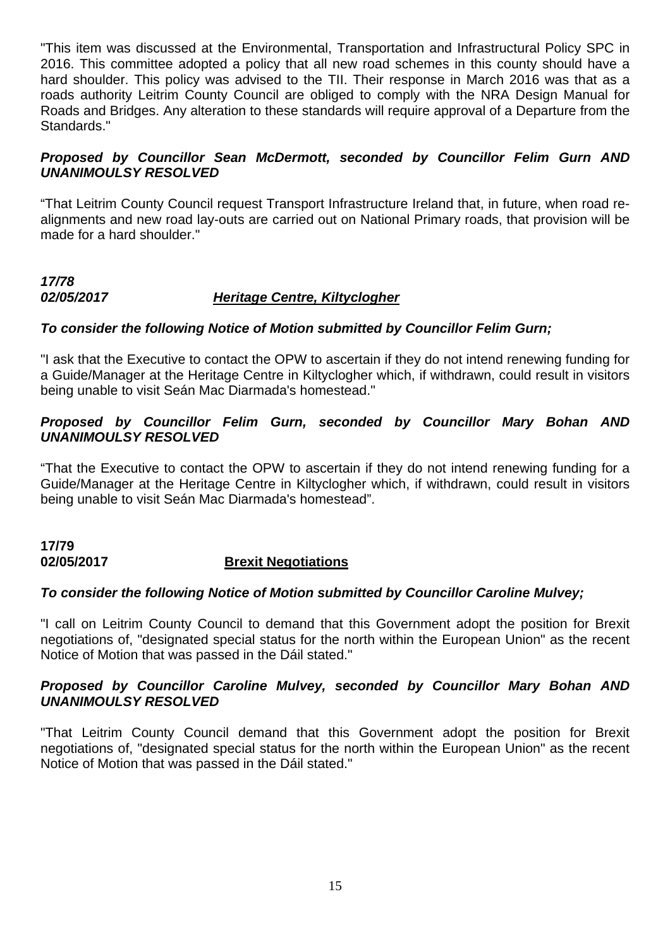"This item was discussed at the Environmental, Transportation and Infrastructural Policy SPC in 2016. This committee adopted a policy that all new road schemes in this county should have a hard shoulder. This policy was advised to the TII. Their response in March 2016 was that as a roads authority Leitrim County Council are obliged to comply with the NRA Design Manual for Roads and Bridges. Any alteration to these standards will require approval of a Departure from the Standards."

#### *Proposed by Councillor Sean McDermott, seconded by Councillor Felim Gurn AND UNANIMOULSY RESOLVED*

"That Leitrim County Council request Transport Infrastructure Ireland that, in future, when road realignments and new road lay-outs are carried out on National Primary roads, that provision will be made for a hard shoulder."

# *17/78 02/05/2017 Heritage Centre, Kiltyclogher*

### *To consider the following Notice of Motion submitted by Councillor Felim Gurn;*

"I ask that the Executive to contact the OPW to ascertain if they do not intend renewing funding for a Guide/Manager at the Heritage Centre in Kiltyclogher which, if withdrawn, could result in visitors being unable to visit Seán Mac Diarmada's homestead."

### *Proposed by Councillor Felim Gurn, seconded by Councillor Mary Bohan AND UNANIMOULSY RESOLVED*

"That the Executive to contact the OPW to ascertain if they do not intend renewing funding for a Guide/Manager at the Heritage Centre in Kiltyclogher which, if withdrawn, could result in visitors being unable to visit Seán Mac Diarmada's homestead".

#### **17/79 02/05/2017 Brexit Negotiations**

#### *To consider the following Notice of Motion submitted by Councillor Caroline Mulvey;*

"I call on Leitrim County Council to demand that this Government adopt the position for Brexit negotiations of, "designated special status for the north within the European Union" as the recent Notice of Motion that was passed in the Dáil stated."

### *Proposed by Councillor Caroline Mulvey, seconded by Councillor Mary Bohan AND UNANIMOULSY RESOLVED*

"That Leitrim County Council demand that this Government adopt the position for Brexit negotiations of, "designated special status for the north within the European Union" as the recent Notice of Motion that was passed in the Dáil stated."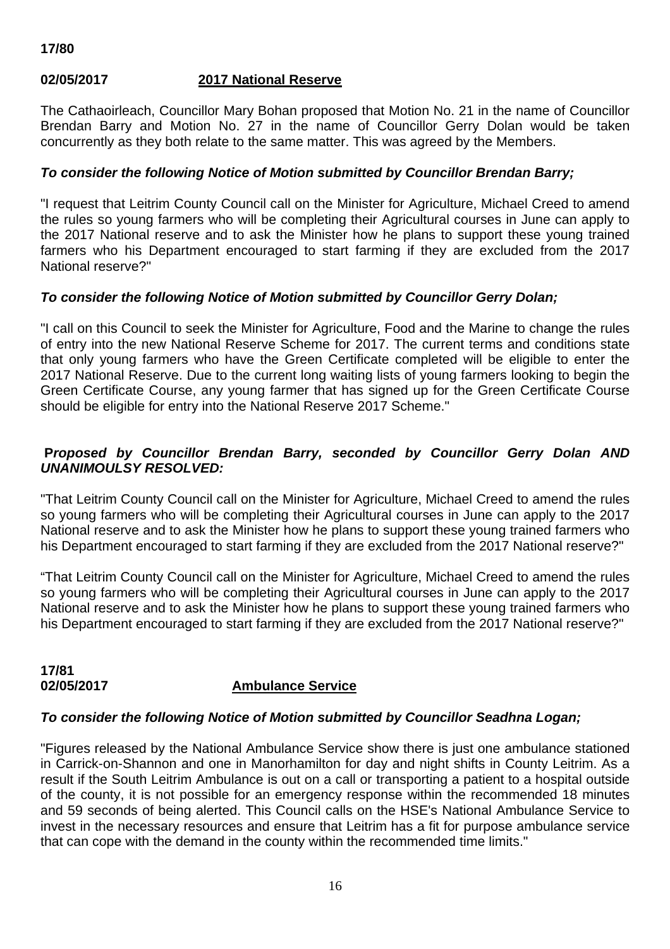# **02/05/2017 2017 National Reserve**

The Cathaoirleach, Councillor Mary Bohan proposed that Motion No. 21 in the name of Councillor Brendan Barry and Motion No. 27 in the name of Councillor Gerry Dolan would be taken concurrently as they both relate to the same matter. This was agreed by the Members.

#### *To consider the following Notice of Motion submitted by Councillor Brendan Barry;*

"I request that Leitrim County Council call on the Minister for Agriculture, Michael Creed to amend the rules so young farmers who will be completing their Agricultural courses in June can apply to the 2017 National reserve and to ask the Minister how he plans to support these young trained farmers who his Department encouraged to start farming if they are excluded from the 2017 National reserve?"

#### *To consider the following Notice of Motion submitted by Councillor Gerry Dolan;*

"I call on this Council to seek the Minister for Agriculture, Food and the Marine to change the rules of entry into the new National Reserve Scheme for 2017. The current terms and conditions state that only young farmers who have the Green Certificate completed will be eligible to enter the 2017 National Reserve. Due to the current long waiting lists of young farmers looking to begin the Green Certificate Course, any young farmer that has signed up for the Green Certificate Course should be eligible for entry into the National Reserve 2017 Scheme."

# **P***roposed by Councillor Brendan Barry, seconded by Councillor Gerry Dolan AND UNANIMOULSY RESOLVED:*

"That Leitrim County Council call on the Minister for Agriculture, Michael Creed to amend the rules so young farmers who will be completing their Agricultural courses in June can apply to the 2017 National reserve and to ask the Minister how he plans to support these young trained farmers who his Department encouraged to start farming if they are excluded from the 2017 National reserve?"

"That Leitrim County Council call on the Minister for Agriculture, Michael Creed to amend the rules so young farmers who will be completing their Agricultural courses in June can apply to the 2017 National reserve and to ask the Minister how he plans to support these young trained farmers who his Department encouraged to start farming if they are excluded from the 2017 National reserve?"

**17/81** 

# **Ambulance Service**

#### *To consider the following Notice of Motion submitted by Councillor Seadhna Logan;*

"Figures released by the National Ambulance Service show there is just one ambulance stationed in Carrick-on-Shannon and one in Manorhamilton for day and night shifts in County Leitrim. As a result if the South Leitrim Ambulance is out on a call or transporting a patient to a hospital outside of the county, it is not possible for an emergency response within the recommended 18 minutes and 59 seconds of being alerted. This Council calls on the HSE's National Ambulance Service to invest in the necessary resources and ensure that Leitrim has a fit for purpose ambulance service that can cope with the demand in the county within the recommended time limits."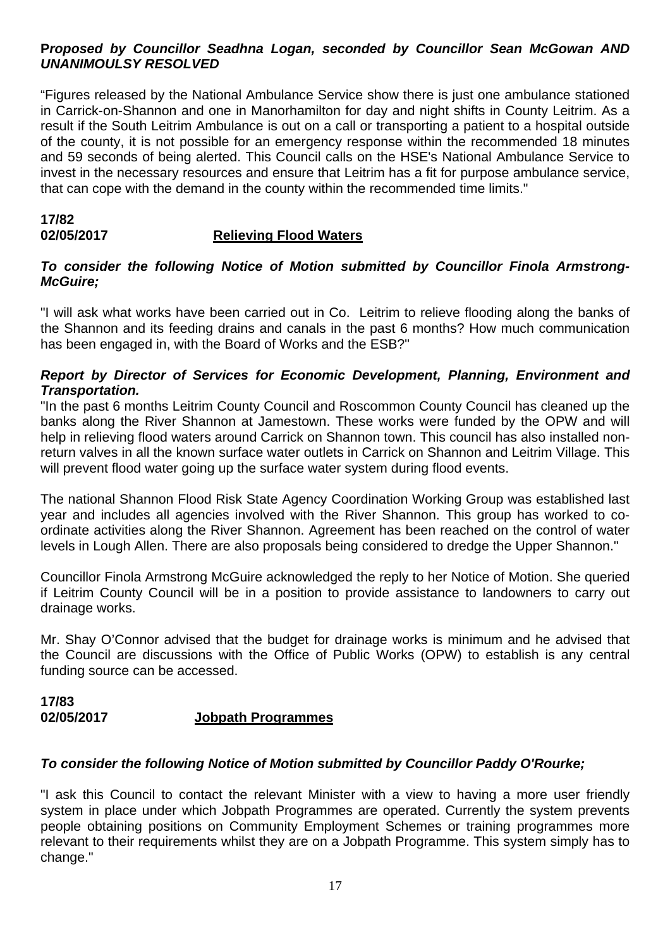#### **P***roposed by Councillor Seadhna Logan, seconded by Councillor Sean McGowan AND UNANIMOULSY RESOLVED*

"Figures released by the National Ambulance Service show there is just one ambulance stationed in Carrick-on-Shannon and one in Manorhamilton for day and night shifts in County Leitrim. As a result if the South Leitrim Ambulance is out on a call or transporting a patient to a hospital outside of the county, it is not possible for an emergency response within the recommended 18 minutes and 59 seconds of being alerted. This Council calls on the HSE's National Ambulance Service to invest in the necessary resources and ensure that Leitrim has a fit for purpose ambulance service, that can cope with the demand in the county within the recommended time limits."

#### **17/82 02/05/2017 Relieving Flood Waters**

#### *To consider the following Notice of Motion submitted by Councillor Finola Armstrong-McGuire;*

"I will ask what works have been carried out in Co. Leitrim to relieve flooding along the banks of the Shannon and its feeding drains and canals in the past 6 months? How much communication has been engaged in, with the Board of Works and the ESB?"

### *Report by Director of Services for Economic Development, Planning, Environment and Transportation.*

"In the past 6 months Leitrim County Council and Roscommon County Council has cleaned up the banks along the River Shannon at Jamestown. These works were funded by the OPW and will help in relieving flood waters around Carrick on Shannon town. This council has also installed nonreturn valves in all the known surface water outlets in Carrick on Shannon and Leitrim Village. This will prevent flood water going up the surface water system during flood events.

The national Shannon Flood Risk State Agency Coordination Working Group was established last year and includes all agencies involved with the River Shannon. This group has worked to coordinate activities along the River Shannon. Agreement has been reached on the control of water levels in Lough Allen. There are also proposals being considered to dredge the Upper Shannon."

Councillor Finola Armstrong McGuire acknowledged the reply to her Notice of Motion. She queried if Leitrim County Council will be in a position to provide assistance to landowners to carry out drainage works.

Mr. Shay O'Connor advised that the budget for drainage works is minimum and he advised that the Council are discussions with the Office of Public Works (OPW) to establish is any central funding source can be accessed.

### **17/83 02/05/2017 Jobpath Programmes**

# *To consider the following Notice of Motion submitted by Councillor Paddy O'Rourke;*

"I ask this Council to contact the relevant Minister with a view to having a more user friendly system in place under which Jobpath Programmes are operated. Currently the system prevents people obtaining positions on Community Employment Schemes or training programmes more relevant to their requirements whilst they are on a Jobpath Programme. This system simply has to change."